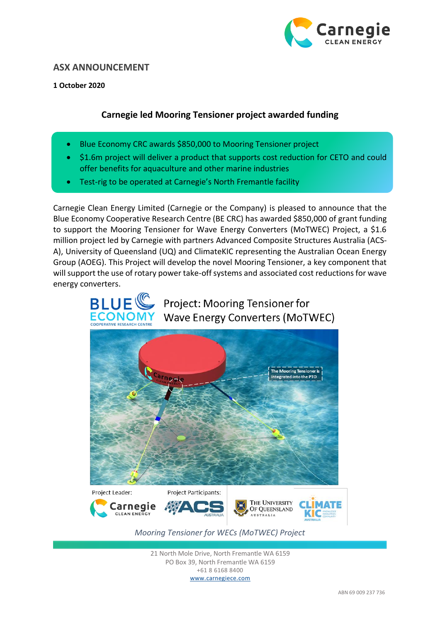

## **ASX ANNOUNCEMENT**

**1 October 2020**

# **Carnegie led Mooring Tensioner project awarded funding**

- Blue Economy CRC awards \$850,000 to Mooring Tensioner project
- \$1.6m project will deliver a product that supports cost reduction for CETO and could offer benefits for aquaculture and other marine industries
- Test-rig to be operated at Carnegie's North Fremantle facility

Carnegie Clean Energy Limited (Carnegie or the Company) is pleased to announce that the Blue Economy Cooperative Research Centre (BE CRC) has awarded \$850,000 of grant funding to support the Mooring Tensioner for Wave Energy Converters (MoTWEC) Project, a \$1.6 million project led by Carnegie with partners Advanced Composite Structures Australia (ACS-A), University of Queensland (UQ) and ClimateKIC representing the Australian Ocean Energy Group (AOEG). This Project will develop the novel Mooring Tensioner, a key component that will support the use of rotary power take-off systems and associated cost reductions for wave energy converters.



21 North Mole Drive, North Fremantle WA 6159 PO Box 39, North Fremantle WA 6159 +61 8 6168 8400 www.carnegiece.com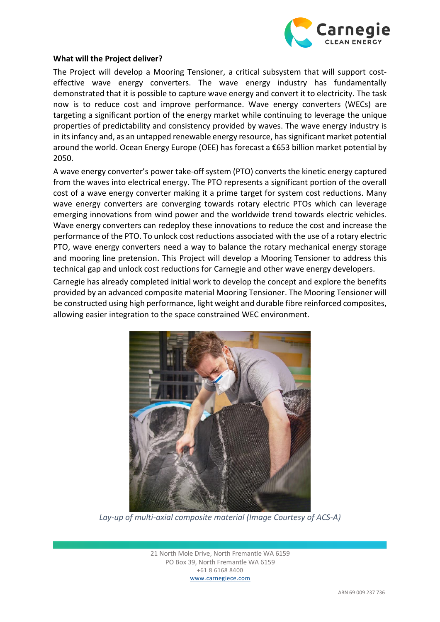

#### **What will the Project deliver?**

The Project will develop a Mooring Tensioner, a critical subsystem that will support costeffective wave energy converters. The wave energy industry has fundamentally demonstrated that it is possible to capture wave energy and convert it to electricity. The task now is to reduce cost and improve performance. Wave energy converters (WECs) are targeting a significant portion of the energy market while continuing to leverage the unique properties of predictability and consistency provided by waves. The wave energy industry is in its infancy and, as an untapped renewable energy resource, has significant market potential around the world. Ocean Energy Europe (OEE) has forecast a €653 billion market potential by 2050.

A wave energy converter's power take-off system (PTO) converts the kinetic energy captured from the waves into electrical energy. The PTO represents a significant portion of the overall cost of a wave energy converter making it a prime target for system cost reductions. Many wave energy converters are converging towards rotary electric PTOs which can leverage emerging innovations from wind power and the worldwide trend towards electric vehicles. Wave energy converters can redeploy these innovations to reduce the cost and increase the performance of the PTO. To unlock cost reductions associated with the use of a rotary electric PTO, wave energy converters need a way to balance the rotary mechanical energy storage and mooring line pretension. This Project will develop a Mooring Tensioner to address this technical gap and unlock cost reductions for Carnegie and other wave energy developers.

Carnegie has already completed initial work to develop the concept and explore the benefits provided by an advanced composite material Mooring Tensioner. The Mooring Tensioner will be constructed using high performance, light weight and durable fibre reinforced composites, allowing easier integration to the space constrained WEC environment.



*Lay-up of multi-axial composite material (Image Courtesy of ACS-A)*

21 North Mole Drive, North Fremantle WA 6159 PO Box 39, North Fremantle WA 6159 +61 8 6168 8400 www.carnegiece.com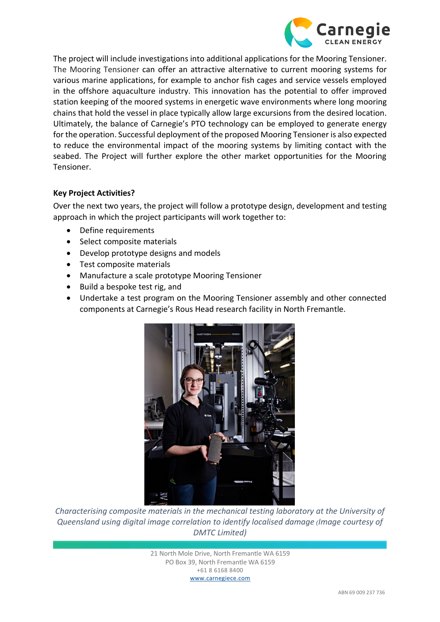

The project will include investigations into additional applications for the Mooring Tensioner. The Mooring Tensioner can offer an attractive alternative to current mooring systems for various marine applications, for example to anchor fish cages and service vessels employed in the offshore aquaculture industry. This innovation has the potential to offer improved station keeping of the moored systems in energetic wave environments where long mooring chains that hold the vessel in place typically allow large excursions from the desired location. Ultimately, the balance of Carnegie's PTO technology can be employed to generate energy for the operation. Successful deployment of the proposed Mooring Tensioner is also expected to reduce the environmental impact of the mooring systems by limiting contact with the seabed. The Project will further explore the other market opportunities for the Mooring Tensioner.

# **Key Project Activities?**

Over the next two years, the project will follow a prototype design, development and testing approach in which the project participants will work together to:

- Define requirements
- Select composite materials
- Develop prototype designs and models
- Test composite materials
- Manufacture a scale prototype Mooring Tensioner
- Build a bespoke test rig, and
- Undertake a test program on the Mooring Tensioner assembly and other connected components at Carnegie's Rous Head research facility in North Fremantle.



*Characterising composite materials in the mechanical testing laboratory at the University of Queensland using digital image correlation to identify localised damage (Image courtesy of DMTC Limited)* 

21 North Mole Drive, North Fremantle WA 6159 PO Box 39, North Fremantle WA 6159 +61 8 6168 8400 www.carnegiece.com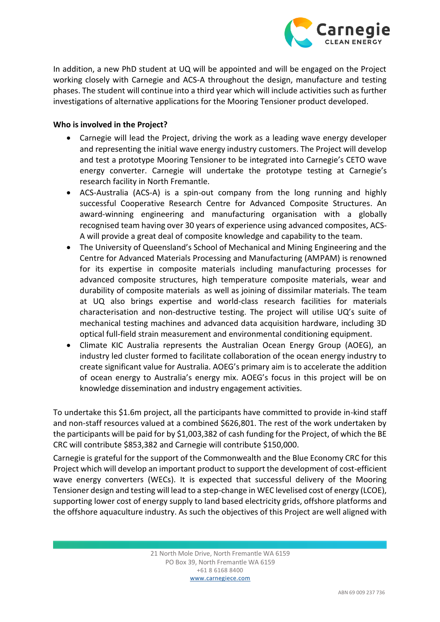

In addition, a new PhD student at UQ will be appointed and will be engaged on the Project working closely with Carnegie and ACS-A throughout the design, manufacture and testing phases. The student will continue into a third year which will include activities such as further investigations of alternative applications for the Mooring Tensioner product developed.

### **Who is involved in the Project?**

- Carnegie will lead the Project, driving the work as a leading wave energy developer and representing the initial wave energy industry customers. The Project will develop and test a prototype Mooring Tensioner to be integrated into Carnegie's CETO wave energy converter. Carnegie will undertake the prototype testing at Carnegie's research facility in North Fremantle.
- ACS-Australia (ACS-A) is a spin-out company from the long running and highly successful Cooperative Research Centre for Advanced Composite Structures. An award-winning engineering and manufacturing organisation with a globally recognised team having over 30 years of experience using advanced composites, ACS-A will provide a great deal of composite knowledge and capability to the team.
- The University of Queensland's School of Mechanical and Mining Engineering and the Centre for Advanced Materials Processing and Manufacturing (AMPAM) is renowned for its expertise in composite materials including manufacturing processes for advanced composite structures, high temperature composite materials, wear and durability of composite materials as well as joining of dissimilar materials. The team at UQ also brings expertise and world-class research facilities for materials characterisation and non-destructive testing. The project will utilise UQ's suite of mechanical testing machines and advanced data acquisition hardware, including 3D optical full-field strain measurement and environmental conditioning equipment.
- Climate KIC Australia represents the Australian Ocean Energy Group (AOEG), an industry led cluster formed to facilitate collaboration of the ocean energy industry to create significant value for Australia. AOEG's primary aim is to accelerate the addition of ocean energy to Australia's energy mix. AOEG's focus in this project will be on knowledge dissemination and industry engagement activities.

To undertake this \$1.6m project, all the participants have committed to provide in-kind staff and non-staff resources valued at a combined \$626,801. The rest of the work undertaken by the participants will be paid for by \$1,003,382 of cash funding for the Project, of which the BE CRC will contribute \$853,382 and Carnegie will contribute \$150,000.

Carnegie is grateful for the support of the Commonwealth and the Blue Economy CRC for this Project which will develop an important product to support the development of cost-efficient wave energy converters (WECs). It is expected that successful delivery of the Mooring Tensioner design and testing will lead to a step-change in WEC levelised cost of energy (LCOE), supporting lower cost of energy supply to land based electricity grids, offshore platforms and the offshore aquaculture industry. As such the objectives of this Project are well aligned with